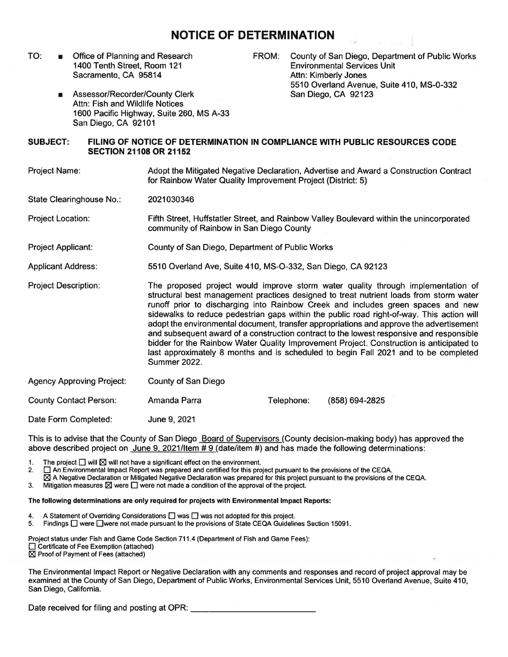## **NOTICE OF DETERMINATION**

TO: ■ Office of Planning and Research 1400 Tenth Street, Room 121 Sacramento, CA 95814

FROM: County of San Diego, Department of Public Works Environmental Services Unit Attn: Kimberly Jones 5510 Overland Avenue, Suite 410, MS-0-332 San Diego, CA 92123

■ Assessor/Recorder/County Clerk Attn: Fish and Wildlife Notices 1600 Pacific Highway, Suite 260, MS A-33 San Diego, CA 92101

## **SUBJECT: FILING OF NOTICE OF DETERMINATION IN COMPLIANCE WITH PUBLIC RESOURCES CODE SECTION 21108 OR 21152**

Project Name: Adopt the Mitigated Negative Declaration, Advertise and Award a Construction Contract for Rainbow Water Quality Improvement Project (District: 5)

State Clearinghouse No.: 2021030346

Project Location: Fifth Street, Huffstatler Street, and Rainbow Valley Boulevard within the unincorporated community of Rainbow in San Diego County

Project Applicant: County of San Diego, Department of Public Works

Applicant Address: 5510 Overland Ave, Suite 410, MS-O-332, San Diego, CA 92123

Project Description: The proposed project would improve storm water quality through implementation of structural best management practices designed to treat nutrient loads from storm water runoff prior to discharging into Rainbow Creek and includes green spaces and new sidewalks to reduce pedestrian gaps within the public road right-of-way. This action will adopt the environmental document, transfer appropriations and approve the advertisement and subsequent award of a construction contract to the lowest responsive and responsible bidder for the Rainbow Water Quality Improvement Project. Construction is anticipated to last approximately 8 months and is scheduled to begin Fall 2021 and to be completed Summer 2022.

Agency Approving Project: County of San Diego

County Contact Person: Amanda Parra

Telephone: **(858) 694-2825** 

Date Form Completed: June 9, 2021

This is to advise that the County of San Diego Board of Supervisors (County decision-making body) has approved the above described project on June 9, 2021/ltem # 9 (date/item #) and has made the following determinations:

1. The project  $\square$  will  $\square$  will not have a significant effect on the environment.<br>2.  $\square$  An Environmental Impact Report was prepared and certified for this pro

 $\square$  An Environmental Impact Report was prepared and certified for this project pursuant to the provisions of the CEQA.

- $\boxtimes$  A Negative Declaration or Mitigated Negative Declaration was prepared for this project pursuant to the provisions of the CEQA.
- 3. Mitigation measures  $\boxtimes$  were  $\square$  were not made a condition of the approval of the project.

## **The following determinations are only required for projects with Environmental Impact Reports:**

- 4. A Statement of Overriding Considerations  $\square$  was  $\square$  was not adopted for this project.<br>5. Findings  $\square$  were  $\square$  were not made pursuant to the provisions of State CEOA Guideling
- Findings  $\Box$  were  $\Box$  were not made pursuant to the provisions of State CEQA Guidelines Section 15091.

Project status under Fish and Game Code Section 711.4 (Department of Fish and Game Fees): □ Certificate of Fee Exemption (attached)

 $\boxtimes$  Proof of Payment of Fees (attached)

The Environmental Impact Report or Negative Declaration with any comments and responses and record of project approval may be examined at the County of San Diego, Department of Public Works, Environmental Services Unit, 5510 Overland Avenue, Suite 410, San Diego, California.

Date received for filing and posting at OPR: